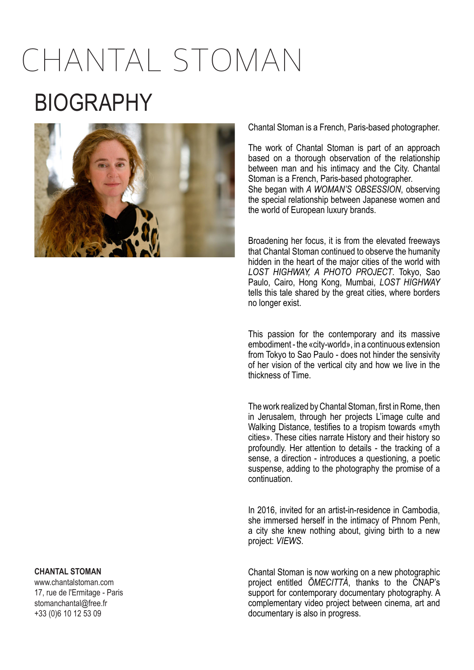# CHANTAL STOMAN BIOGRAPHY



Chantal Stoman is a French, Paris-based photographer.

The work of Chantal Stoman is part of an approach based on a thorough observation of the relationship between man and his intimacy and the City. Chantal Stoman is a French, Paris-based photographer. She began with *A WOMAN'S OBSESSION*, observing the special relationship between Japanese women and the world of European luxury brands.

Broadening her focus, it is from the elevated freeways that Chantal Stoman continued to observe the humanity hidden in the heart of the major cities of the world with *LOST HIGHWAY, A PHOTO PROJECT*. Tokyo, Sao Paulo, Cairo, Hong Kong, Mumbai, *LOST HIGHWAY* tells this tale shared by the great cities, where borders no longer exist.

This passion for the contemporary and its massive embodiment - the «city-world», in a continuous extension from Tokyo to Sao Paulo - does not hinder the sensivity of her vision of the vertical city and how we live in the thickness of Time.

The work realized by Chantal Stoman, first in Rome, then in Jerusalem, through her projects L'image culte and Walking Distance, testifies to a tropism towards «myth cities». These cities narrate History and their history so profoundly. Her attention to details - the tracking of a sense, a direction - introduces a questioning, a poetic suspense, adding to the photography the promise of a continuation.

In 2016, invited for an artist-in-residence in Cambodia, she immersed herself in the intimacy of Phnom Penh, a city she knew nothing about, giving birth to a new project: *VIEWS*.

Chantal Stoman is now working on a new photographic project entitled *ŌMECITTÀ*, thanks to the CNAP's support for contemporary documentary photography. A complementary video project between cinema, art and documentary is also in progress.

### **CHANTAL STOMAN**

www.chantalstoman.com 17, rue de l'Ermitage - Paris stomanchantal@free.fr +33 (0)6 10 12 53 09